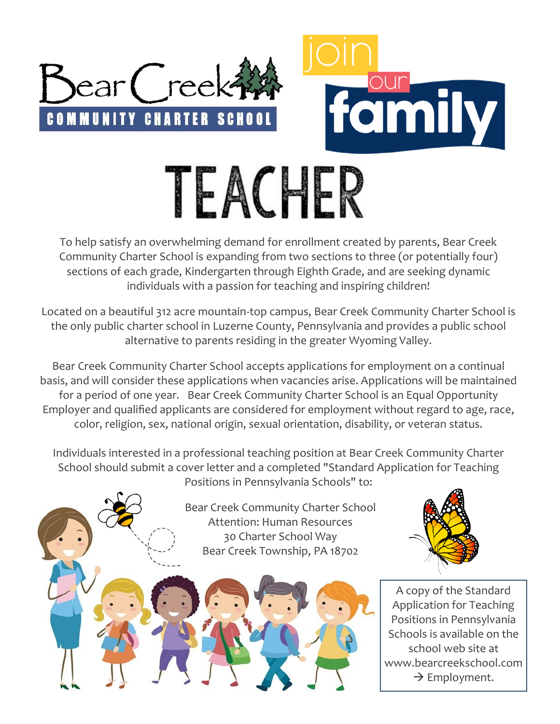

To help satisfy an overwhelming demand for enrollment created by parents, Bear Creek Community Charter School is expanding from two sections to three (or potentially four) sections of each grade, Kindergarten through Eighth Grade, and are seeking dynamic individuals with a passion for teaching and inspiring children!

Located on a beautiful 312 acre mountain-top campus, Bear Creek Community Charter School is the only public charter school in Luzerne County, Pennsylvania and provides a public school alternative to parents residing in the greater Wyoming Valley.

Bear Creek Community Charter School accepts applications for employment on a continual basis, and will consider these applications when vacancies arise. Applications will be maintained for a period of one year. Bear Creek Community Charter School is an Equal Opportunity Employer and qualified applicants are considered for employment without regard to age, race, color, religion, sex, national origin, sexual orientation, disability, or veteran status.

Individuals interested in a professional teaching position at Bear Creek Community Charter School should submit a cover letter and a completed "Standard Application for Teaching Positions in Pennsylvania Schools" to:

> Bear Creek Community Charter School Attention: Human Resources 30 Charter School Way Bear Creek Township, PA 18702



A copy of the Standard Application for Teaching Positions in Pennsylvania Schools is available on the school web site at www.bearcreekschool.com  $\rightarrow$  Employment.